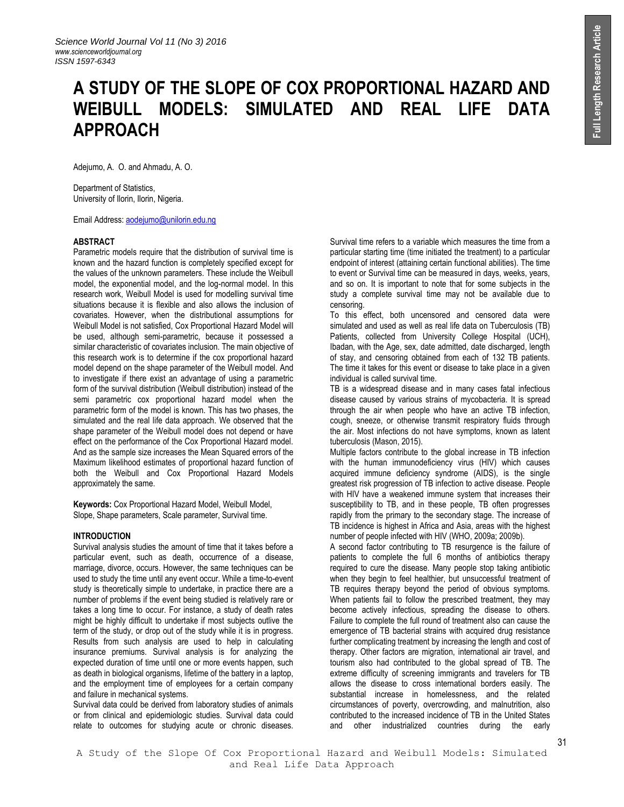# **A STUDY OF THE SLOPE OF COX PROPORTIONAL HAZARD AND WEIBULL MODELS: SIMULATED AND REAL LIFE DATA APPROACH**

Adejumo, A. O. and Ahmadu, A. O.

Department of Statistics, University of Ilorin, Ilorin, Nigeria.

Email Address[: aodejumo@unilorin.edu.ng](mailto:aodejumo@unilorin.edu.ng)

# **ABSTRACT**

Parametric models require that the distribution of survival time is known and the hazard function is completely specified except for the values of the unknown parameters. These include the Weibull model, the exponential model, and the log-normal model. In this research work, Weibull Model is used for modelling survival time situations because it is flexible and also allows the inclusion of covariates. However, when the distributional assumptions for Weibull Model is not satisfied, Cox Proportional Hazard Model will be used, although semi-parametric, because it possessed a similar characteristic of covariates inclusion. The main objective of this research work is to determine if the cox proportional hazard model depend on the shape parameter of the Weibull model. And to investigate if there exist an advantage of using a parametric form of the survival distribution (Weibull distribution) instead of the semi parametric cox proportional hazard model when the parametric form of the model is known. This has two phases, the simulated and the real life data approach. We observed that the shape parameter of the Weibull model does not depend or have effect on the performance of the Cox Proportional Hazard model. And as the sample size increases the Mean Squared errors of the Maximum likelihood estimates of proportional hazard function of both the Weibull and Cox Proportional Hazard Models approximately the same.

**Keywords:** Cox Proportional Hazard Model, Weibull Model, Slope, Shape parameters, Scale parameter, Survival time.

#### **INTRODUCTION**

Survival analysis studies the amount of time that it takes before a particular event, such as death, occurrence of a disease, marriage, divorce, occurs. However, the same techniques can be used to study the time until any event occur. While a time-to-event study is theoretically simple to undertake, in practice there are a number of problems if the event being studied is relatively rare or takes a long time to occur. For instance, a study of death rates might be highly difficult to undertake if most subjects outlive the term of the study, or drop out of the study while it is in progress. Results from such analysis are used to help in calculating insurance premiums. Survival analysis is for analyzing the expected duration of time until one or more events happen, such as death in biological organisms, lifetime of the battery in a laptop, and the employment time of employees for a certain company and failure in mechanical systems.

Survival data could be derived from laboratory studies of animals or from clinical and epidemiologic studies. Survival data could relate to outcomes for studying acute or chronic diseases.

Survival time refers to a variable which measures the time from a particular starting time (time initiated the treatment) to a particular endpoint of interest (attaining certain functional abilities). The time to event or Survival time can be measured in days, weeks, years, and so on. It is important to note that for some subjects in the study a complete survival time may not be available due to censoring.

To this effect, both uncensored and censored data were simulated and used as well as real life data on Tuberculosis (TB) Patients, collected from University College Hospital (UCH), Ibadan, with the Age, sex, date admitted, date discharged, length of stay, and censoring obtained from each of 132 TB patients. The time it takes for this event or disease to take place in a given individual is called survival time.

TB is a widespread disease and in many cases fatal [infectious](http://en.wikipedia.org/wiki/Infectious_disease)  [disease](http://en.wikipedia.org/wiki/Infectious_disease) caused by various strains of [mycobacteria.](http://en.wikipedia.org/wiki/Mycobacterium) It is spread through the air when people who have an active TB infection, cough, sneeze, or otherwise transmit respiratory fluids through the air. Most infections do not have symptoms, known as latent tuberculosis (Mason, 2015).

Multiple factors contribute to the global increase in TB infection with the human immunodeficiency virus (HIV) which causes acquired immune deficiency syndrome (AIDS), is the single greatest risk progression of TB infection to active disease. People with HIV have a weakened immune system that increases their susceptibility to TB, and in these people, TB often progresses rapidly from the primary to the secondary stage. The increase of TB incidence is highest in Africa and Asia, areas with the highest number of people infected with HIV (WHO, 2009a; 2009b).

A second factor contributing to TB resurgence is the failure of patients to complete the full 6 months of antibiotics therapy required to cure the disease. Many people stop taking antibiotic when they begin to feel healthier, but unsuccessful treatment of TB requires therapy beyond the period of obvious symptoms. When patients fail to follow the prescribed treatment, they may become actively infectious, spreading the disease to others. Failure to complete the full round of treatment also can cause the emergence of TB bacterial strains with acquired drug resistance further complicating treatment by increasing the length and cost of therapy. Other factors are migration, international air travel, and tourism also had contributed to the global spread of TB. The extreme difficulty of screening immigrants and travelers for TB allows the disease to cross international borders easily. The substantial increase in homelessness, and the related circumstances of poverty, overcrowding, and malnutrition, also contributed to the increased incidence of TB in the United States and other industrialized countries during the early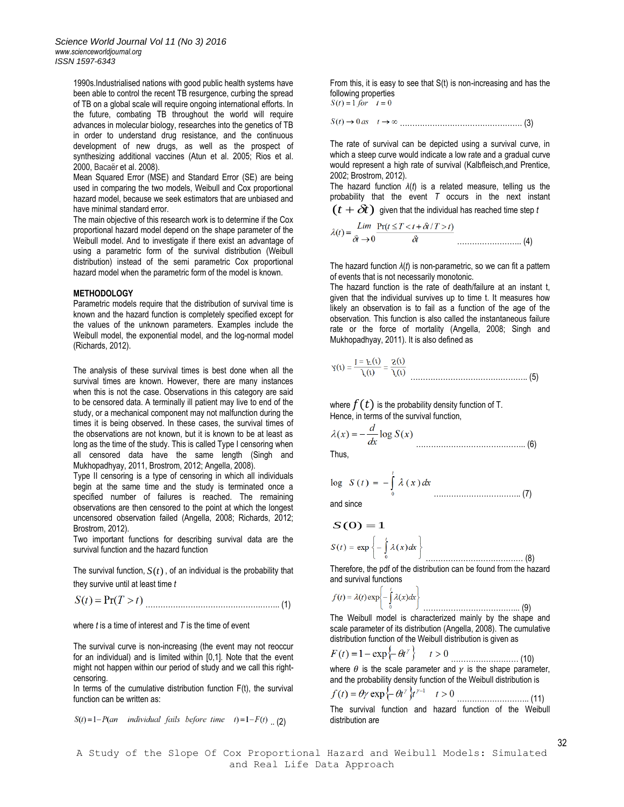1990s.Industrialised nations with good public health systems have been able to control the recent TB resurgence, curbing the spread of TB on a global scale will require ongoing international efforts. In the future, combating TB throughout the world will require advances in molecular biology, researches into the genetics of TB in order to understand drug resistance, and the continuous development of new drugs, as well as the prospect of synthesizing additional vaccines (Atun et al. 2005; Rios et al. 2000, Bacaër et al. 2008).

Mean Squared Error (MSE) and Standard Error (SE) are being used in comparing the two models, Weibull and Cox proportional hazard model, because we seek estimators that are unbiased and have minimal standard error.

The main objective of this research work is to determine if the Cox proportional hazard model depend on the shape parameter of the Weibull model. And to investigate if there exist an advantage of using a parametric form of the survival distribution (Weibull distribution) instead of the semi parametric Cox proportional hazard model when the parametric form of the model is known.

## **METHODOLOGY**

Parametric models require that the distribution of survival time is known and the hazard function is completely specified except for the values of the unknown parameters. Examples include the Weibull model, the exponential model, and the log-normal model (Richards, 2012).

The analysis of these survival times is best done when all the survival times are known. However, there are many instances when this is not the case. Observations in this category are said to be censored data. A terminally ill patient may live to end of the study, or a mechanical component may not malfunction during the times it is being observed. In these cases, the survival times of the observations are not known, but it is known to be at least as long as the time of the study. This is called Type I censoring when all censored data have the same length (Singh and Mukhopadhyay, 2011, Brostrom, 2012; Angella, 2008).

Type II censoring is a type of censoring in which all individuals begin at the same time and the study is terminated once a specified number of failures is reached. The remaining observations are then censored to the point at which the longest uncensored observation failed (Angella, 2008; Richards, 2012; Brostrom, 2012).

Two important functions for describing survival data are the survival function and the hazard function

The survival function,  $S(t)$ , of an individual is the probability that they survive until at least time *t*

……………………………………….…….. (1)

where *t* is a time of interest and *T* is the time of event

The survival curve is non-increasing (the event may not reoccur for an individual) and is limited within [0,1]. Note that the event might not happen within our period of study and we call this rightcensoring.

In terms of the cumulative distribution function  $F(t)$ , the survival function can be written as:

$$
S(t) = 1 - P(an \quad individual \; fails \; before \; time \quad t) = 1 - F(t) \quad (2)
$$

From this, it is easy to see that S(t) is non-increasing and has the following properties<br> $S(t) = 1$  for  $t = 0$ 

…………………………………………. (3)

The rate of survival can be depicted using a survival curve, in which a steep curve would indicate a low rate and a gradual curve would represent a high rate of survival (Kalbfleisch,and Prentice, 2002; Brostrom, 2012).

The hazard function *λ*(*t*) is a related measure, telling us the probability that the event *T* occurs in the next instant  $(t+\delta\!t)$  given that the individual has reached time step  $t$ 

$$
\lambda(t) = \frac{\lim_{\delta t \to 0} \Pr(t \le T < t + \delta t / T > t)}{\delta t} \tag{4}
$$

The hazard function *λ*(*t*) is non-parametric, so we can fit a pattern of events that is not necessarily monotonic.

The hazard function is the rate of death/failure at an instant t, given that the individual survives up to time t. It measures how likely an observation is to fail as a function of the age of the observation. This function is also called the instantaneous failure rate or the force of mortality (Angella, 2008; Singh and Mukhopadhyay, 2011). It is also defined as

$$
\lambda(t) = \frac{f(t)}{1 = F(t)} = \frac{f(t)}{S(t)}
$$

where  $f(t)$  is the probability density function of T. Hence, in terms of the survival function,

$$
\lambda(x) = -\frac{d}{dx} \log S(x) \tag{6}
$$

Thus,

$$
\log S(t) = -\int_{0}^{t} \lambda(x) dx
$$
.................(7)

and since

$$
S(O) = 1
$$
  

$$
S(t) = \exp \left\{-\int_{0}^{t} \lambda(x)dx\right\}
$$

Therefore, the pdf of the distribution can be found from the hazard and survival functions

………………………………… (8)

………………………………... (9)

$$
f(t) = \lambda(t) \exp \left\{-\int_{0}^{t} \lambda(x) dx\right\}
$$

The Weibull model is characterized mainly by the shape and scale parameter of its distribution (Angella, 2008). The cumulative distribution function of the Weibull distribution is given as

$$
F(t) = 1 - \exp\{-\theta t^{\gamma}\} \qquad t >
$$

……………………… (10) where  $\theta$  is the scale parameter and  $\gamma$  is the shape parameter, and the probability density function of the Weibull distribution is

$$
f(t) = \theta \gamma \exp\left\{-\theta t^{\gamma}\right\} t^{\gamma - 1} \quad t
$$

……………………….. (11) The survival function and hazard function of the Weibull distribution are

32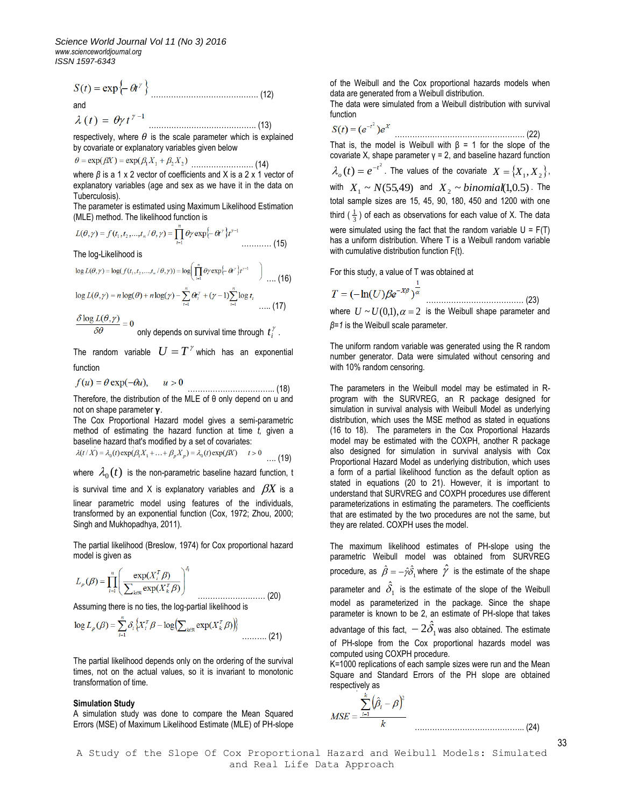$S(t) = \exp\{-\theta t^{\gamma}\}\$  (12) and

……………………………………. (13)

respectively, where  $\theta$  is the scale parameter which is explained by covariate or explanatory variables given below

$$
\theta = \exp(\beta X) = \exp(\beta_1 X_1 + \beta_2 X_2) \dots \dots \dots \dots \dots \dots \dots (14)
$$

where *β* is a 1 x 2 vector of coefficients and X is a 2 x 1 vector of explanatory variables (age and sex as we have it in the data on Tuberculosis).

The parameter is estimated using Maximum Likelihood Estimation (MLE) method. The likelihood function is

$$
L(\theta, \gamma) = f(t_1, t_2, \dots, t_n / \theta, \gamma) = \prod_{i=1}^n \theta \gamma \exp\left\{-\theta t^{\gamma}\right\} t^{\gamma - 1} \dots \dots \dots \dots \tag{15}
$$

The log-Likelihood is

$$
\log L(\theta, \gamma) = \log(f(t_1, t_2, \dots, t_n / \theta, \gamma)) = \log \left( \prod_{i=1}^n \theta \gamma \exp\left\{-\theta^{\gamma}\right\} t^{\gamma - 1} \right) \dots \text{(16)}
$$
\n
$$
\log L(\theta, \gamma) = n \log(\theta) + n \log(\gamma) - \sum_{i=1}^n \theta \binom{\gamma}{i} + (\gamma - 1) \sum_{i=1}^n \log t_i \dots \text{(17)}
$$

 $\frac{\delta \log L(\theta, \gamma)}{2.2} = 0$ 

only depends on survival time through  $\,t_i^{\,\gamma}\,$  .

The random variable  $U = T^{\gamma}$  which has an exponential function

 $f(u) = \theta \exp(-\theta u),$ …………………………….. (18)

Therefore, the distribution of the MLE of θ only depend on u and not on shape parameter  $\gamma$ .

The Cox Proportional Hazard model gives a semi-parametric method of estimating the hazard function at time *t,* given a baseline hazard that's modified by a set of covariates:

$$
\lambda(t/X) = \lambda_0(t) \exp(\beta_1 X_1 + \dots + \beta_p X_p) = \lambda_0(t) \exp(\beta X) \qquad t > 0 \qquad \dots (19)
$$

where  $\,\lambda_{0}(t)\,$  is the non-parametric baseline hazard function, t

is survival time and X is explanatory variables and  $\beta\!X$  is a linear parametric model using features of the individuals, transformed by an exponential function (Cox, 1972; Zhou, 2000; Singh and Mukhopadhya, 2011).

The partial likelihood (Breslow, 1974) for Cox proportional hazard model is given as

$$
L_p(\beta) = \prod_{i=1}^n \left( \frac{\exp(X_i^T \beta)}{\sum_{k \in \mathbb{N}} \exp(X_k^T \beta)} \right)^{\delta_i}
$$

Assuming there is no ties, the log-partial likelihood is

$$
\log L_p(\beta) = \sum_{i=1}^n \delta_i \left\{ X_i^T \beta - \log \left( \sum_{k \in \mathbb{N}} \exp(X_k^T \beta) \right) \right\} \dots \dots \dots (21)
$$

The partial likelihood depends only on the ordering of the survival times, not on the actual values, so it is invariant to monotonic transformation of time.

#### **Simulation Study**

A simulation study was done to compare the Mean Squared Errors (MSE) of Maximum Likelihood Estimate (MLE) of PH-slope of the Weibull and the Cox proportional hazards models when data are generated from a Weibull distribution.

The data were simulated from a Weibull distribution with survival function

$$
S(t) = (e^{-t^2})e^{X}
$$
................. (22)

That is, the model is Weibull with  $\beta = 1$  for the slope of the covariate X, shape parameter γ = 2, and baseline hazard function  $\lambda_o(t) = e^{-t^2}$ . The values of the covariate  $X = \{X_1, X_2\}$ , with  $X_1 \sim N(55,49)$  and  $X_2 \sim binomial(1,0.5)$ . The total sample sizes are 15, 45, 90, 180, 450 and 1200 with one third ( $\frac{1}{3}$ ) of each as observations for each value of X. The data were simulated using the fact that the random variable  $U = F(T)$ has a uniform distribution. Where T is a Weibull random variable with cumulative distribution function F(t).

For this study, a value of T was obtained at

$$
T = (-\ln(U)) \beta e^{-X\beta} \overline{\big)^\alpha}
$$

………………………………… (23) where  $U \sim U(0,1)$ ,  $\alpha = 2$  is the Weibull shape parameter and *β=1* is the Weibull scale parameter.

The uniform random variable was generated using the R random number generator. Data were simulated without censoring and with 10% random censoring.

The parameters in the Weibull model may be estimated in Rprogram with the SURVREG, an R package designed for simulation in survival analysis with Weibull Model as underlying distribution, which uses the MSE method as stated in equations (16 to 18). The parameters in the Cox Proportional Hazards model may be estimated with the COXPH, another R package also designed for simulation in survival analysis with Cox Proportional Hazard Model as underlying distribution, which uses a form of a partial likelihood function as the default option as stated in equations (20 to 21). However, it is important to understand that SURVREG and COXPH procedures use different parameterizations in estimating the parameters. The coefficients that are estimated by the two procedures are not the same, but they are related. COXPH uses the model.

The maximum likelihood estimates of PH-slope using the parametric Weibull model was obtained from SURVREG procedure, as  $\hat{\beta}=-\hat{\gamma}\hat{\delta_1}$  where  $\hat{\mathscr{V}}$  is the estimate of the shape parameter and  $\delta_1$  $\hat{\delta}_1$  is the estimate of the slope of the Weibull model as parameterized in the package. Since the shape parameter is known to be 2, an estimate of PH-slope that takes advantage of this fact,  $-2\hat{\delta_1}$  was also obtained. The estimate of PH-slope from the Cox proportional hazards model was computed using COXPH procedure.

K=1000 replications of each sample sizes were run and the Mean Square and Standard Errors of the PH slope are obtained respectively as

$$
MSE = \frac{\sum_{i=1}^{k} (\hat{\beta}_{i} - \beta)^{2}}{k}
$$
 (24)

A Study of the Slope Of Cox Proportional Hazard and Weibull Models: Simulated and Real Life Data Approach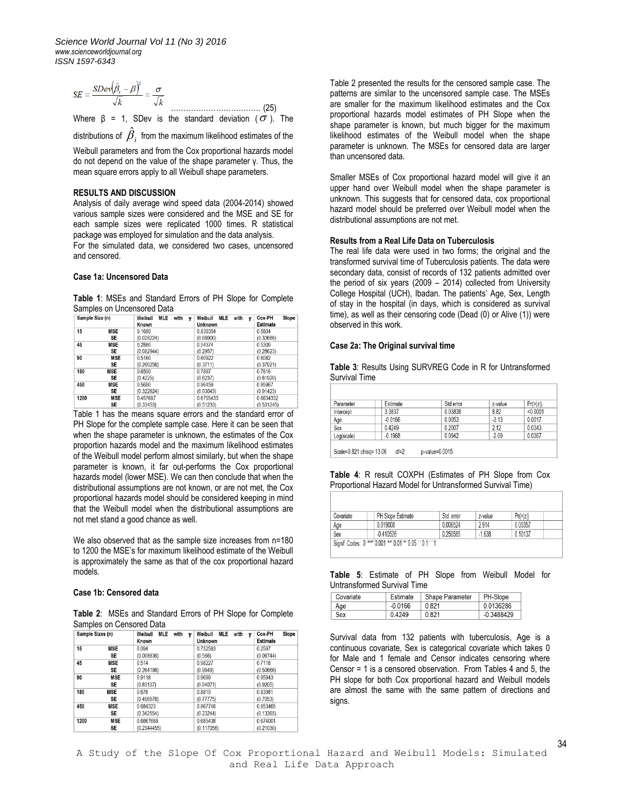$$
SE = \frac{SDev(\hat{\beta}_i - \beta)^2}{\sqrt{k}} = \frac{\sigma}{\sqrt{k}}
$$

Where β = 1, SDev is the standard deviation ( $\sigma$ ). The ˆ

distributions of  $\,{\beta}_i\,$  from the maximum likelihood estimates of the

Weibull parameters and from the Cox proportional hazards model do not depend on the value of the shape parameter γ. Thus, the mean square errors apply to all Weibull shape parameters.

# **RESULTS AND DISCUSSION**

Analysis of daily average wind speed data (2004-2014) showed various sample sizes were considered and the MSE and SE for each sample sizes were replicated 1000 times. R statistical package was employed for simulation and the data analysis. For the simulated data, we considered two cases, uncensored and censored.

## **Case 1a: Uncensored Data**

**Table 1**: MSEs and Standard Errors of PH Slope for Complete Samples on Uncensored Data

| Sample Size (n) |            | Weibull<br>MLE<br>with<br>Known | Weibull<br><b>MLE</b><br>with<br>ν<br>ν<br>Unknown | Slope<br>Cox-PH<br>Estimate |
|-----------------|------------|---------------------------------|----------------------------------------------------|-----------------------------|
| 15              | <b>MSE</b> | 0.1680                          | 0.830354                                           | 0.5804                      |
|                 | SE         | (0.028224)                      | (0.68900)                                          | (0.33686)                   |
| 45              | <b>MSE</b> | 0.2880                          | 0.54374                                            | 0.5309                      |
|                 | SE         | (0.082944)                      | (0.2957)                                           | (0.28623)                   |
| 90              | <b>MSE</b> | 0.5160                          | 0.60922                                            | 0.6082                      |
|                 | <b>SE</b>  | (0.266256)                      | (0.3711)                                           | (0.37021)                   |
| 180             | <b>MSE</b> | 0.6500                          | 0.7897                                             | 0.7816                      |
|                 | SE         | (0.4225)                        | (0.6237)                                           | (0.61920)                   |
| 450             | <b>MSE</b> | 0.5680                          | 0.96459                                            | 0.95967                     |
|                 | SE         | (0.322624)                      | (0.93043)                                          | (0.91423)                   |
| 1200            | <b>MSE</b> | 0.457687                        | 0.6755433                                          | 0.6634332                   |
|                 | SE         | (0.33453)                       | (0.51233)                                          | (0.531245)                  |

Table 1 has the means square errors and the standard error of PH Slope for the complete sample case. Here it can be seen that when the shape parameter is unknown, the estimates of the Cox proportion hazards model and the maximum likelihood estimates of the Weibull model perform almost similarly, but when the shape parameter is known, it far out-performs the Cox proportional hazards model (lower MSE). We can then conclude that when the distributional assumptions are not known, or are not met, the Cox proportional hazards model should be considered keeping in mind that the Weibull model when the distributional assumptions are not met stand a good chance as well.

We also observed that as the sample size increases from n=180 to 1200 the MSE's for maximum likelihood estimate of the Weibull is approximately the same as that of the cox proportional hazard models.

#### **Case 1b: Censored data**

**Table 2**: MSEs and Standard Errors of PH Slope for Complete Samples on Censored Data

| Sample Sizes (n) |            | MLE<br>Weibull<br>with<br>γ<br>Known | MLE<br>Weibull<br>with<br>γ<br>Unknown | Slope<br>Cox-PH<br><b>Estimate</b> |
|------------------|------------|--------------------------------------|----------------------------------------|------------------------------------|
| 15               | <b>MSE</b> | 0.094                                | 0.752583                               | 0.2597                             |
|                  | SE         | (0.008836)                           | (0.566)                                | (0.06744)                          |
| 45               | MSE        | 0.514                                | 0.98227                                | 0.7118                             |
|                  | SE         | (0.264196)                           | (0.9649)                               | (0.50666)                          |
| 90               | <b>MSE</b> | 0.9118                               | 0.9699                                 | 0.95943                            |
|                  | SE         | (0.83137)                            | (0.94071)                              | (0.9205)                           |
| 180              | <b>MSE</b> | 0.676                                | 0.8819                                 | 0.83981                            |
|                  | <b>SE</b>  | (0.456976)                           | (0.77775)                              | (0.7053)                           |
| 450              | <b>MSE</b> | 0.684323                             | 0.867746                               | 0.853465                           |
|                  | SE         | (0.342554)                           | (0.23244)                              | (0.13365)                          |
| 1200             | MSE        | 0.6667688                            | 0.685438                               | 0.674001                           |
|                  | SE         | (0.2344455)                          | (0.117056)                             | (0.21030)                          |

Table 2 presented the results for the censored sample case. The patterns are similar to the uncensored sample case. The MSEs are smaller for the maximum likelihood estimates and the Cox proportional hazards model estimates of PH Slope when the shape parameter is known, but much bigger for the maximum likelihood estimates of the Weibull model when the shape parameter is unknown. The MSEs for censored data are larger than uncensored data.

Smaller MSEs of Cox proportional hazard model will give it an upper hand over Weibull model when the shape parameter is unknown. This suggests that for censored data, cox proportional hazard model should be preferred over Weibull model when the distributional assumptions are not met.

# **Results from a Real Life Data on Tuberculosis**

The real life data were used in two forms; the original and the transformed survival time of Tuberculosis patients. The data were secondary data, consist of records of 132 patients admitted over the period of six years (2009 – 2014) collected from University College Hospital (UCH), Ibadan. The patients' Age, Sex, Length of stay in the hospital (in days, which is considered as survival time), as well as their censoring code (Dead (0) or Alive (1)) were observed in this work.

# **Case 2a: The Original survival time**

**Table 3**: Results Using SURVREG Code in R for Untransformed Survival Time

| Parameter  | Estimate  | Std error | z-value | Pr(>  z ) |
|------------|-----------|-----------|---------|-----------|
| Intercept  | 3.3837    | 0.03838   | 8.82    | < 0.0001  |
| Age        | $-0.0166$ | 0.0053    | $-3.13$ | 0.0017    |
| Sex        | 0.4249    | 0.2007    | 2.12    | 0.0343    |
| Log(scale) | $-0.1968$ | 0.0942    | $-2.09$ | 0.0367    |

Scale=0.821 chisq= 13.06 df=2 p-value=0.0015

**Table 4**: R result COXPH (Estimates of PH Slope from Cox Proportional Hazard Model for Untransformed Survival Time)

| Covariate                                                     | <b>PH Slope Estimate</b> | Std. error | z-value  | Pr(>  z )   |  |  |  |
|---------------------------------------------------------------|--------------------------|------------|----------|-------------|--|--|--|
| Age                                                           | 0.019008                 | 0.006524   | 2914     | 0 0 0 3 5 7 |  |  |  |
| Sex                                                           | $-0.410526$              | 0 250585   | $-1.638$ | 0 10137     |  |  |  |
| Signif. Codes: 0 '***' 0.001 '**' 0.01 '*' 0.05 '.' 0.1 ' ' 1 |                          |            |          |             |  |  |  |

**Table 5**: Estimate of PH Slope from Weibull Model for Untransformed Survival Time

| Covariate | Estimate  | Shape Parameter | PH-Slope     |
|-----------|-----------|-----------------|--------------|
| Age       | $-0.0166$ | 0.821           | 0.0136286    |
| Sex       | 04249     | 0.821           | $-0.3488429$ |

Survival data from 132 patients with tuberculosis, Age is a continuous covariate, Sex is categorical covariate which takes 0 for Male and 1 female and Censor indicates censoring where Censor = 1 is a censored observation. From Tables 4 and 5, the PH slope for both Cox proportional hazard and Weibull models are almost the same with the same pattern of directions and signs.

34